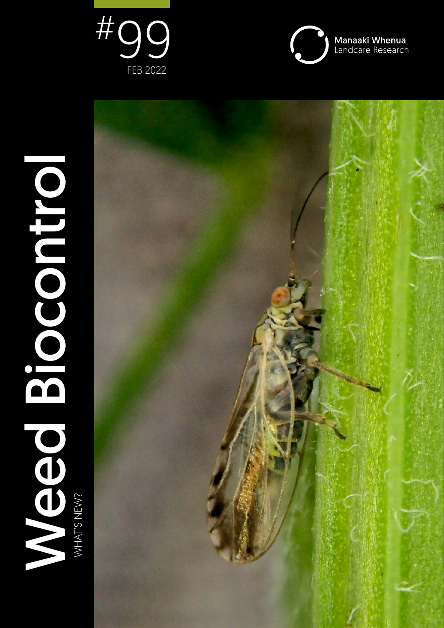



Weed Biocontrol Meed Biocontro WHAT'S NEW? WHAT'S NEW?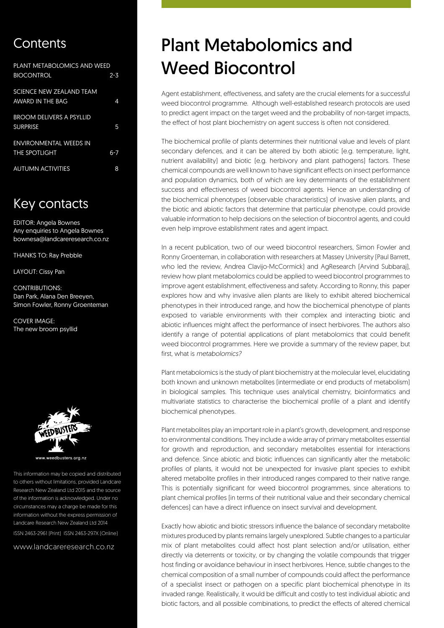# Contents

| PLANT METABOLOMICS AND WEED     |         |
|---------------------------------|---------|
| <b>BIOCONTROL</b>               | $2 - 3$ |
| <b>SCIENCE NEW ZEALAND TEAM</b> |         |
| AWARD IN THE BAG                | 4       |
| <b>BROOM DELIVERS A PSYLLID</b> |         |
| <b>SURPRISE</b>                 | 5       |
| <b>ENVIRONMENTAL WEEDS IN</b>   |         |
| <b>THE SPOTLIGHT</b>            | 6-7     |
| <b>AUTUMN ACTIVITIES</b>        | 8       |

# Key contacts

EDITOR: Angela Bownes Any enquiries to Angela Bownes bownesa@landcareresearch.co.nz

THANKS TO: Ray Prebble

LAYOUT: Cissy Pan

CONTRIBUTIONS: Dan Park, Alana Den Breeyen, Simon Fowler, Ronny Groenteman

COVER IMAGE: The new broom psyllid



weedbusters.org.nz

This information may be copied and distributed to others without limitations, provided Landcare Research New Zealand Ltd 2015 and the source of the information is acknowledged. Under no circumstances may a charge be made for this information without the express permission of Landcare Research New Zealand Ltd 2014 ISSN 2463-2961 (Print) ISSN 2463-297X (Online)

www.landcareresearch.co.nz

# Plant Metabolomics and Weed Biocontrol

Agent establishment, effectiveness, and safety are the crucial elements for a successful weed biocontrol programme. Although well-established research protocols are used to predict agent impact on the target weed and the probability of non-target impacts, the effect of host plant biochemistry on agent success is often not considered.

The biochemical profile of plants determines their nutritional value and levels of plant secondary defences, and it can be altered by both abiotic (e.g. temperature, light, nutrient availability) and biotic (e.g. herbivory and plant pathogens) factors. These chemical compounds are well known to have significant effects on insect performance and population dynamics, both of which are key determinants of the establishment success and effectiveness of weed biocontrol agents. Hence an understanding of the biochemical phenotypes (observable characteristics) of invasive alien plants, and the biotic and abiotic factors that determine that particular phenotype, could provide valuable information to help decisions on the selection of biocontrol agents, and could even help improve establishment rates and agent impact.

In a recent publication, two of our weed biocontrol researchers, Simon Fowler and Ronny Groenteman, in collaboration with researchers at Massey University (Paul Barrett, who led the review, Andrea Clavijo-McCormick) and AgResearch (Arvind Subbaraj), review how plant metabolomics could be applied to weed biocontrol programmes to improve agent establishment, effectiveness and safety. According to Ronny, this paper explores how and why invasive alien plants are likely to exhibit altered biochemical phenotypes in their introduced range, and how the biochemical phenotype of plants exposed to variable environments with their complex and interacting biotic and abiotic influences might affect the performance of insect herbivores. The authors also identify a range of potential applications of plant metabolomics that could benefit weed biocontrol programmes. Here we provide a summary of the review paper, but first, what is *metabolomics?*

Plant metabolomics is the study of plant biochemistry at the molecular level, elucidating both known and unknown metabolites (intermediate or end products of metabolism) in biological samples. This technique uses analytical chemistry, bioinformatics and multivariate statistics to characterise the biochemical profile of a plant and identify biochemical phenotypes.

Plant metabolites play an important role in a plant's growth, development, and response to environmental conditions. They include a wide array of primary metabolites essential for growth and reproduction, and secondary metabolites essential for interactions and defence. Since abiotic and biotic influences can significantly alter the metabolic profiles of plants, it would not be unexpected for invasive plant species to exhibit altered metabolite profiles in their introduced ranges compared to their native range. This is potentially significant for weed biocontrol programmes, since alterations to plant chemical profiles (in terms of their nutritional value and their secondary chemical defences) can have a direct influence on insect survival and development.

Exactly how abiotic and biotic stressors influence the balance of secondary metabolite mixtures produced by plants remains largely unexplored. Subtle changes to a particular mix of plant metabolites could affect host plant selection and/or utilisation, either directly via deterrents or toxicity, or by changing the volatile compounds that trigger host finding or avoidance behaviour in insect herbivores. Hence, subtle changes to the chemical composition of a small number of compounds could affect the performance of a specialist insect or pathogen on a specific plant biochemical phenotype in its invaded range. Realistically, it would be difficult and costly to test individual abiotic and biotic factors, and all possible combinations, to predict the effects of altered chemical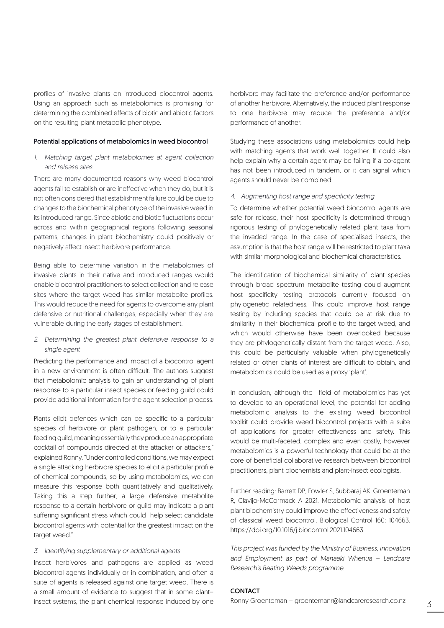profiles of invasive plants on introduced biocontrol agents. Using an approach such as metabolomics is promising for determining the combined effects of biotic and abiotic factors on the resulting plant metabolic phenotype.

### Potential applications of metabolomics in weed biocontrol

# 1. Matching target plant metabolomes at agent collection and release sites

There are many documented reasons why weed biocontrol agents fail to establish or are ineffective when they do, but it is not often considered that establishment failure could be due to changes to the biochemical phenotype of the invasive weed in its introduced range. Since abiotic and biotic fluctuations occur across and within geographical regions following seasonal patterns, changes in plant biochemistry could positively or negatively affect insect herbivore performance.

Being able to determine variation in the metabolomes of invasive plants in their native and introduced ranges would enable biocontrol practitioners to select collection and release sites where the target weed has similar metabolite profiles. This would reduce the need for agents to overcome any plant defensive or nutritional challenges, especially when they are vulnerable during the early stages of establishment.

2. Determining the greatest plant defensive response to a single agent

Predicting the performance and impact of a biocontrol agent in a new environment is often difficult. The authors suggest that metabolomic analysis to gain an understanding of plant response to a particular insect species or feeding guild could provide additional information for the agent selection process.

Plants elicit defences which can be specific to a particular species of herbivore or plant pathogen, or to a particular feeding guild, meaning essentially they produce an appropriate cocktail of compounds directed at the attacker or attackers," explained Ronny. "Under controlled conditions, we may expect a single attacking herbivore species to elicit a particular profile of chemical compounds, so by using metabolomics, we can measure this response both quantitatively and qualitatively. Taking this a step further, a large defensive metabolite response to a certain herbivore or guild may indicate a plant suffering significant stress which could help select candidate biocontrol agents with potential for the greatest impact on the target weed."

# 3. Identifying supplementary or additional agents

Insect herbivores and pathogens are applied as weed biocontrol agents individually or in combination, and often a suite of agents is released against one target weed. There is a small amount of evidence to suggest that in some plant– insect systems, the plant chemical response induced by one herbivore may facilitate the preference and/or performance of another herbivore. Alternatively, the induced plant response to one herbivore may reduce the preference and/or performance of another.

Studying these associations using metabolomics could help with matching agents that work well together. It could also help explain why a certain agent may be failing if a co-agent has not been introduced in tandem, or it can signal which agents should never be combined.

#### 4. Augmenting host range and specificity testing

To determine whether potential weed biocontrol agents are safe for release, their host specificity is determined through rigorous testing of phylogenetically related plant taxa from the invaded range. In the case of specialised insects, the assumption is that the host range will be restricted to plant taxa with similar morphological and biochemical characteristics.

The identification of biochemical similarity of plant species through broad spectrum metabolite testing could augment host specificity testing protocols currently focused on phylogenetic relatedness. This could improve host range testing by including species that could be at risk due to similarity in their biochemical profile to the target weed, and which would otherwise have been overlooked because they are phylogenetically distant from the target weed. Also, this could be particularly valuable when phylogenetically related or other plants of interest are difficult to obtain, and metabolomics could be used as a proxy 'plant'.

In conclusion, although the field of metabolomics has yet to develop to an operational level, the potential for adding metabolomic analysis to the existing weed biocontrol toolkit could provide weed biocontrol projects with a suite of applications for greater effectiveness and safety. This would be multi-faceted, complex and even costly, however metabolomics is a powerful technology that could be at the core of beneficial collaborative research between biocontrol practitioners, plant biochemists and plant-insect ecologists.

Further reading: Barrett DP, Fowler S, Subbaraj AK, Groenteman R, Clavijo-McCormack A 2021. Metabolomic analysis of host plant biochemistry could improve the effectiveness and safety of classical weed biocontrol. Biological Control 160: 104663. <https://doi.org/10.1016/j.biocontrol.2021.104663>

*This project was funded by the Ministry of Business, Innovation and Employment as part of Manaaki Whenua – Landcare Research's Beating Weeds programme.*

# **CONTACT**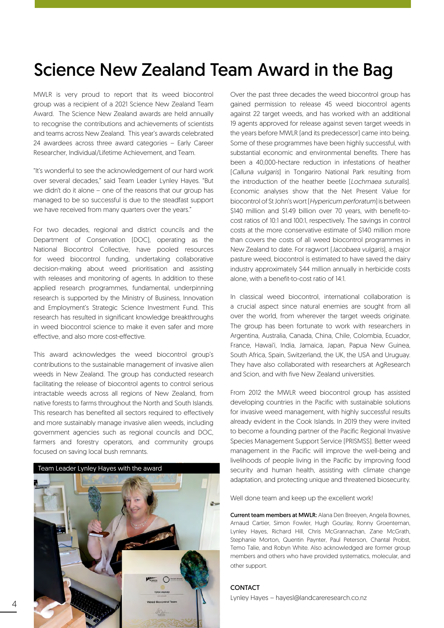# Science New Zealand Team Award in the Bag

MWLR is very proud to report that its weed biocontrol group was a recipient of a 2021 Science New Zealand Team Award. The Science New Zealand awards are held annually to recognise the contributions and achievements of scientists and teams across New Zealand. This year's awards celebrated 24 awardees across three award categories – Early Career Researcher, Individual/Lifetime Achievement, and Team.

"It's wonderful to see the acknowledgement of our hard work over several decades," said Team Leader Lynley Hayes. "But we didn't do it alone – one of the reasons that our group has managed to be so successful is due to the steadfast support we have received from many quarters over the years."

For two decades, regional and district councils and the Department of Conservation (DOC), operating as the National Biocontrol Collective, have pooled resources for weed biocontrol funding, undertaking collaborative decision-making about weed prioritisation and assisting with releases and monitoring of agents. In addition to these applied research programmes, fundamental, underpinning research is supported by the Ministry of Business, Innovation and Employment's Strategic Science Investment Fund. This research has resulted in significant knowledge breakthroughs in weed biocontrol science to make it even safer and more effective, and also more cost-effective.

This award acknowledges the weed biocontrol group's contributions to the sustainable management of invasive alien weeds in New Zealand. The group has conducted research facilitating the release of biocontrol agents to control serious intractable weeds across all regions of New Zealand, from native forests to farms throughout the North and South Islands. This research has benefited all sectors required to effectively and more sustainably manage invasive alien weeds, including government agencies such as regional councils and DOC, farmers and forestry operators, and community groups focused on saving local bush remnants.



Over the past three decades the weed biocontrol group has gained permission to release 45 weed biocontrol agents against 22 target weeds, and has worked with an additional 19 agents approved for release against seven target weeds in the years before MWLR (and its predecessor) came into being. Some of these programmes have been highly successful, with substantial economic and environmental benefits. There has been a 40,000-hectare reduction in infestations of heather (*Calluna vulgaris*) in Tongariro National Park resulting from the introduction of the heather beetle (*Lochmaea suturalis*). Economic analyses show that the Net Present Value for biocontrol of St John's wort (*Hypericum perforatum*) is between \$140 million and \$1.49 billion over 70 years, with benefit-tocost ratios of 10:1 and 100:1, respectively. The savings in control costs at the more conservative estimate of \$140 million more than covers the costs of all weed biocontrol programmes in New Zealand to date. For ragwort (*Jacobaea vulgaris*), a major pasture weed, biocontrol is estimated to have saved the dairy industry approximately \$44 million annually in herbicide costs alone, with a benefit-to-cost ratio of 14:1.

In classical weed biocontrol, international collaboration is a crucial aspect since natural enemies are sought from all over the world, from wherever the target weeds originate. The group has been fortunate to work with researchers in Argentina, Australia, Canada, China, Chile, Colombia, Ecuador, France, Hawai'i, India, Jamaica, Japan, Papua New Guinea, South Africa, Spain, Switzerland, the UK, the USA and Uruguay. They have also collaborated with researchers at AgResearch and Scion, and with five New Zealand universities.

From 2012 the MWLR weed biocontrol group has assisted developing countries in the Pacific with sustainable solutions for invasive weed management, with highly successful results already evident in the Cook Islands. In 2019 they were invited to become a founding partner of the Pacific Regional Invasive Species Management Support Service (PRISMSS). Better weed management in the Pacific will improve the well-being and livelihoods of people living in the Pacific by improving food security and human health, assisting with climate change adaptation, and protecting unique and threatened biosecurity.

Well done team and keep up the excellent work!

Current team members at MWLR: Alana Den Breeyen, Angela Bownes, Arnaud Cartier, Simon Fowler, Hugh Gourlay, Ronny Groenteman, Lynley Hayes, Richard Hill, Chris McGrannachan, Zane McGrath, Stephanie Morton, Quentin Paynter, Paul Peterson, Chantal Probst, Temo Talie, and Robyn White. Also acknowledged are former group members and others who have provided systematics, molecular, and other support.

# CONTACT

Lynley Hayes – hayesl@landcareresearch.co.nz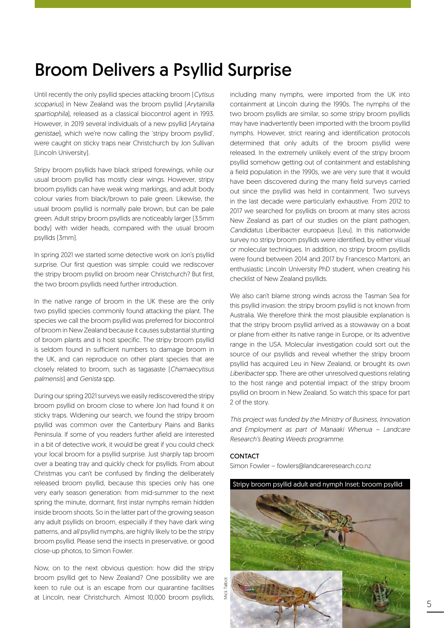# Broom Delivers a Psyllid Surprise

Until recently the only psyllid species attacking broom (*Cytisus scoparius*) in New Zealand was the broom psyllid (*Arytainilla spartiophila*), released as a classical biocontrol agent in 1993. However, in 2019 several individuals of a new psyllid (*Arytaina genistae*), which we're now calling the 'stripy broom psyllid', were caught on sticky traps near Christchurch by Jon Sullivan (Lincoln University).

Stripy broom psyllids have black striped forewings, while our usual broom psyllid has mostly clear wings. However, stripy broom psyllids can have weak wing markings, and adult body colour varies from black/brown to pale green. Likewise, the usual broom psyllid is normally pale brown, but can be pale green. Adult stripy broom psyllids are noticeably larger (3.5mm body) with wider heads, compared with the usual broom psyllids (3mm).

In spring 2021 we started some detective work on Jon's psyllid surprise. Our first question was simple: could we rediscover the stripy broom psyllid on broom near Christchurch? But first, the two broom psyllids need further introduction.

In the native range of broom in the UK these are the only two psyllid species commonly found attacking the plant. The species we call the broom psyllid was preferred for biocontrol of broom in New Zealand because it causes substantial stunting of broom plants and is host specific. The stripy broom psyllid is seldom found in sufficient numbers to damage broom in the UK, and can reproduce on other plant species that are closely related to broom, such as tagasaste (*Chamaecytisus palmensis*) and *Genista* spp.

During our spring 2021 surveys we easily rediscovered the stripy broom psyllid on broom close to where Jon had found it on sticky traps. Widening our search, we found the stripy broom psyllid was common over the Canterbury Plains and Banks Peninsula. If some of you readers further afield are interested in a bit of detective work, it would be great if you could check your local broom for a psyllid surprise. Just sharply tap broom over a beating tray and quickly check for psyllids. From about Christmas you can't be confused by finding the deliberately released broom psyllid, because this species only has one very early season generation: from mid-summer to the next spring the minute, dormant, first instar nymphs remain hidden inside broom shoots. So in the latter part of the growing season any adult psyllids on broom, especially if they have dark wing patterns, and *all* psyllid nymphs, are highly likely to be the stripy broom psyllid. Please send the insects in preservative, or good close-up photos, to Simon Fowler.

Now, on to the next obvious question: how did the stripy broom psyllid get to New Zealand? One possibility we are keen to rule out is an escape from our quarantine facilities at Lincoln, near Christchurch. Almost 10,000 broom psyllids, including many nymphs, were imported from the UK into containment at Lincoln during the 1990s. The nymphs of the two broom psyllids are similar, so some stripy broom psyllids may have inadvertently been imported with the broom psyllid nymphs. However, strict rearing and identification protocols determined that only adults of the broom psyllid were released. In the extremely unlikely event of the stripy broom psyllid somehow getting out of containment and establishing a field population in the 1990s, we are very sure that it would have been discovered during the many field surveys carried out since the psyllid was held in containment. Two surveys in the last decade were particularly exhaustive. From 2012 to 2017 we searched for psyllids on broom at many sites across New Zealand as part of our studies on the plant pathogen, *Candidatus* Liberibacter europaeus (Leu). In this nationwide survey no stripy broom psyllids were identified, by either visual or molecular techniques. In addition, no stripy broom psyllids were found between 2014 and 2017 by Francesco Martoni, an enthusiastic Lincoln University PhD student, when creating his checklist of New Zealand psyllids.

We also can't blame strong winds across the Tasman Sea for this psyllid invasion: the stripy broom psyllid is not known from Australia. We therefore think the most plausible explanation is that the stripy broom psyllid arrived as a stowaway on a boat or plane from either its native range in Europe, or its adventive range in the USA. Molecular investigation could sort out the source of our psyllids and reveal whether the stripy broom psyllid has acquired Leu in New Zealand, or brought its own *Liberibacter* spp. There are other unresolved questions relating to the host range and potential impact of the stripy broom psyllid on broom in New Zealand. So watch this space for part 2 of the story.

*This project was funded by the Ministry of Business, Innovation and Employment as part of Manaaki Whenua – Landcare Research's Beating Weeds programme.*

# **CONTACT**

Simon Fowler – fowlers@landcareresearch.co.nz

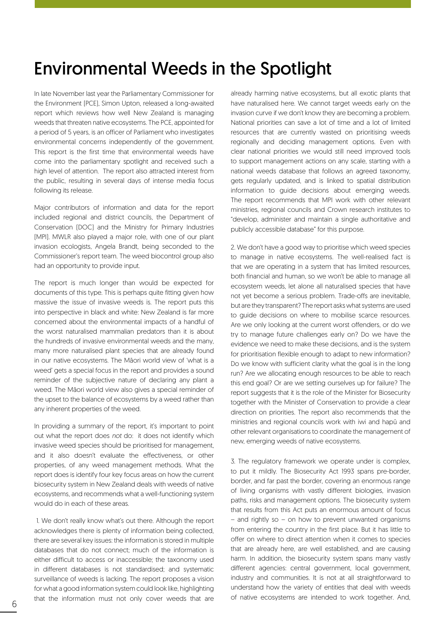# Environmental Weeds in the Spotlight

In late November last year the Parliamentary Commissioner for the Environment (PCE), Simon Upton, released a long-awaited report which reviews how well New Zealand is managing weeds that threaten native ecosystems. The PCE, appointed for a period of 5 years, is an officer of Parliament who investigates environmental concerns independently of the government. This report is the first time that environmental weeds have come into the parliamentary spotlight and received such a high level of attention. The report also attracted interest from the public, resulting in several days of intense media focus following its release.

Major contributors of information and data for the report included regional and district councils, the Department of Conservation (DOC) and the Ministry for Primary Industries (MPI). MWLR also played a major role, with one of our plant invasion ecologists, Angela Brandt, being seconded to the Commissioner's report team. The weed biocontrol group also had an opportunity to provide input.

The report is much longer than would be expected for documents of this type. This is perhaps quite fitting given how massive the issue of invasive weeds is. The report puts this into perspective in black and white: New Zealand is far more concerned about the environmental impacts of a handful of the worst naturalised mammalian predators than it is about the hundreds of invasive environmental weeds and the many, many more naturalised plant species that are already found in our native ecosystems. The Māori world view of 'what is a weed' gets a special focus in the report and provides a sound reminder of the subjective nature of declaring any plant a weed. The Māori world view also gives a special reminder of the upset to the balance of ecosystems by a weed rather than any inherent properties of the weed.

In providing a summary of the report, it's important to point out what the report does *not* do: it does not identify which invasive weed species should be prioritised for management, and it also doesn't evaluate the effectiveness, or other properties, of any weed management methods. What the report does is identify four key focus areas on how the current biosecurity system in New Zealand deals with weeds of native ecosystems, and recommends what a well-functioning system would do in each of these areas.

 1. We don't really know what's out there. Although the report acknowledges there is plenty of information being collected, there are several key issues: the information is stored in multiple databases that do not connect; much of the information is either difficult to access or inaccessible; the taxonomy used in different databases is not standardised; and systematic surveillance of weeds is lacking. The report proposes a vision for what a good information system could look like, highlighting that the information must not only cover weeds that are already harming native ecosystems, but all exotic plants that have naturalised here. We cannot target weeds early on the invasion curve if we don't know they are becoming a problem. National priorities can save a lot of time and a lot of limited resources that are currently wasted on prioritising weeds regionally and deciding management options. Even with clear national priorities we would still need improved tools to support management actions on any scale, starting with a national weeds database that follows an agreed taxonomy, gets regularly updated, and is linked to spatial distribution information to guide decisions about emerging weeds. The report recommends that MPI work with other relevant ministries, regional councils and Crown research institutes to "develop, administer and maintain a single authoritative and publicly accessible database" for this purpose.

2. We don't have a good way to prioritise which weed species to manage in native ecosystems. The well-realised fact is that we are operating in a system that has limited resources, both financial and human, so we won't be able to manage all ecosystem weeds, let alone all naturalised species that have not yet become a serious problem. Trade-offs are inevitable, but are they transparent? The report asks what systems are used to guide decisions on where to mobilise scarce resources. Are we only looking at the current worst offenders, or do we try to manage future challenges early on? Do we have the evidence we need to make these decisions, and is the system for prioritisation flexible enough to adapt to new information? Do we know with sufficient clarity what the goal is in the long run? Are we allocating enough resources to be able to reach this end goal? Or are we setting ourselves up for failure? The report suggests that it is the role of the Minister for Biosecurity together with the Minister of Conservation to provide a clear direction on priorities. The report also recommends that the ministries and regional councils work with iwi and hapū and other relevant organisations to coordinate the management of new, emerging weeds of native ecosystems.

3. The regulatory framework we operate under is complex, to put it mildly. The Biosecurity Act 1993 spans pre-border, border, and far past the border, covering an enormous range of living organisms with vastly different biologies, invasion paths, risks and management options. The biosecurity system that results from this Act puts an enormous amount of focus – and rightly so – on how to prevent unwanted organisms from entering the country in the first place. But it has little to offer on where to direct attention when it comes to species that are already here, are well established, and are causing harm. In addition, the biosecurity system spans many vastly different agencies: central government, local government, industry and communities. It is not at all straightforward to understand how the variety of entities that deal with weeds of native ecosystems are intended to work together. And,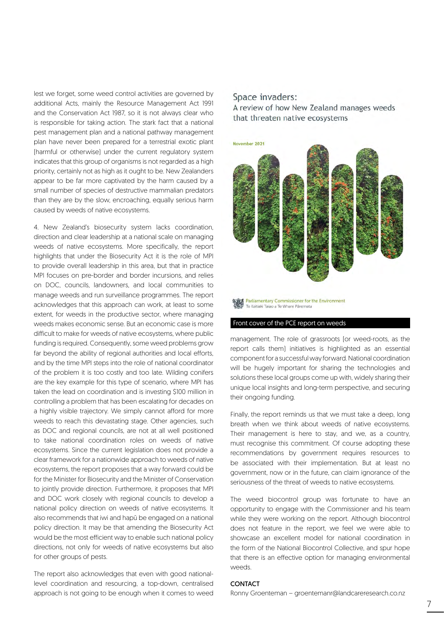lest we forget, some weed control activities are governed by additional Acts, mainly the Resource Management Act 1991 and the Conservation Act 1987, so it is not always clear who is responsible for taking action. The stark fact that a national pest management plan and a national pathway management plan have never been prepared for a terrestrial exotic plant (harmful or otherwise) under the current regulatory system indicates that this group of organisms is not regarded as a high priority, certainly not as high as it ought to be. New Zealanders appear to be far more captivated by the harm caused by a small number of species of destructive mammalian predators than they are by the slow, encroaching, equally serious harm caused by weeds of native ecosystems.

4. New Zealand's biosecurity system lacks coordination, direction and clear leadership at a national scale on managing weeds of native ecosystems. More specifically, the report highlights that under the Biosecurity Act it is the role of MPI to provide overall leadership in this area, but that in practice MPI focuses on pre-border and border incursions, and relies on DOC, councils, landowners, and local communities to manage weeds and run surveillance programmes. The report acknowledges that this approach can work, at least to some extent, for weeds in the productive sector, where managing weeds makes economic sense. But an economic case is more difficult to make for weeds of native ecosystems, where public funding is required. Consequently, some weed problems grow far beyond the ability of regional authorities and local efforts, and by the time MPI steps into the role of national coordinator of the problem it is too costly and too late. Wilding conifers are the key example for this type of scenario, where MPI has taken the lead on coordination and is investing \$100 million in controlling a problem that has been escalating for decades on a highly visible trajectory. We simply cannot afford for more weeds to reach this devastating stage. Other agencies, such as DOC and regional councils, are not at all well positioned to take national coordination roles on weeds of native ecosystems. Since the current legislation does not provide a clear framework for a nationwide approach to weeds of native ecosystems, the report proposes that a way forward could be for the Minister for Biosecurity and the Minister of Conservation to jointly provide direction. Furthermore, it proposes that MPI and DOC work closely with regional councils to develop a national policy direction on weeds of native ecosystems. It also recommends that iwi and hapū be engaged on a national policy direction. It may be that amending the Biosecurity Act would be the most efficient way to enable such national policy directions, not only for weeds of native ecosystems but also for other groups of pests.

The report also acknowledges that even with good nationallevel coordination and resourcing, a top-down, centralised approach is not going to be enough when it comes to weed

# Space invaders:

A review of how New Zealand manages weeds that threaten native ecosystems



Parliamentary Commissioner for the Environment<br>Te Kaitiaki Taiao a Te Whare Päremata

### Front cover of the PCE report on weeds

management. The role of grassroots (or weed-roots, as the report calls them) initiatives is highlighted as an essential component for a successful way forward. National coordination will be hugely important for sharing the technologies and solutions these local groups come up with, widely sharing their unique local insights and long-term perspective, and securing their ongoing funding.

Finally, the report reminds us that we must take a deep, long breath when we think about weeds of native ecosystems. Their management is here to stay, and we, as a country, must recognise this commitment. Of course adopting these recommendations by government requires resources to be associated with their implementation. But at least no government, now or in the future, can claim ignorance of the seriousness of the threat of weeds to native ecosystems.

The weed biocontrol group was fortunate to have an opportunity to engage with the Commissioner and his team while they were working on the report. Although biocontrol does not feature in the report, we feel we were able to showcase an excellent model for national coordination in the form of the National Biocontrol Collective, and spur hope that there is an effective option for managing environmental weeds.

## **CONTACT**

Ronny Groenteman – groentemanr@landcareresearch.co.nz